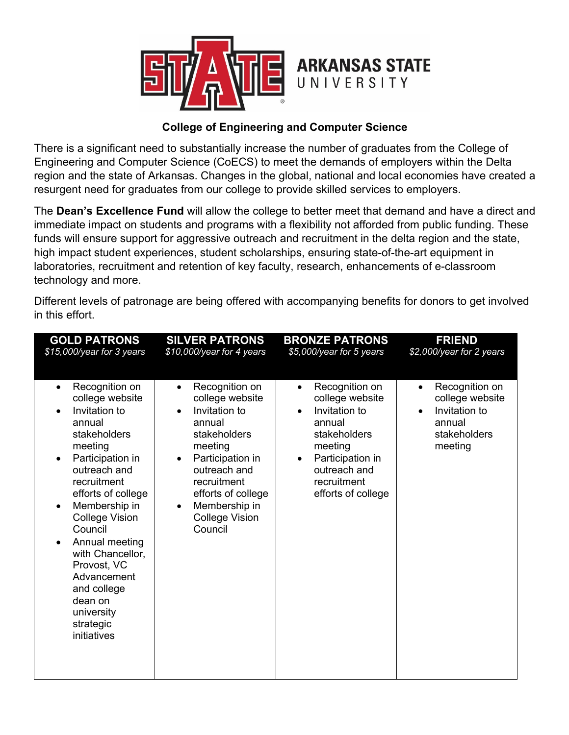

## **College of Engineering and Computer Science**

There is a significant need to substantially increase the number of graduates from the College of Engineering and Computer Science (CoECS) to meet the demands of employers within the Delta region and the state of Arkansas. Changes in the global, national and local economies have created a resurgent need for graduates from our college to provide skilled services to employers.

The **Dean's Excellence Fund** will allow the college to better meet that demand and have a direct and immediate impact on students and programs with a flexibility not afforded from public funding. These funds will ensure support for aggressive outreach and recruitment in the delta region and the state, high impact student experiences, student scholarships, ensuring state-of-the-art equipment in laboratories, recruitment and retention of key faculty, research, enhancements of e-classroom technology and more.

| <b>GOLD PATRONS</b>                                                                                                                                                                                                                                                                                                                                                                                                            | <b>SILVER PATRONS</b>                                                                                                                                                                                                                                                     | <b>BRONZE PATRONS</b>                                                                                                                                                                                          | <b>FRIEND</b>                                                                                                     |
|--------------------------------------------------------------------------------------------------------------------------------------------------------------------------------------------------------------------------------------------------------------------------------------------------------------------------------------------------------------------------------------------------------------------------------|---------------------------------------------------------------------------------------------------------------------------------------------------------------------------------------------------------------------------------------------------------------------------|----------------------------------------------------------------------------------------------------------------------------------------------------------------------------------------------------------------|-------------------------------------------------------------------------------------------------------------------|
| \$15,000/year for 3 years                                                                                                                                                                                                                                                                                                                                                                                                      | \$10,000/year for 4 years                                                                                                                                                                                                                                                 | \$5,000/year for 5 years                                                                                                                                                                                       | \$2,000/year for 2 years                                                                                          |
| Recognition on<br>$\bullet$<br>college website<br>Invitation to<br>$\bullet$<br>annual<br>stakeholders<br>meeting<br>Participation in<br>$\bullet$<br>outreach and<br>recruitment<br>efforts of college<br>Membership in<br>$\bullet$<br><b>College Vision</b><br>Council<br>Annual meeting<br>$\bullet$<br>with Chancellor,<br>Provost, VC<br>Advancement<br>and college<br>dean on<br>university<br>strategic<br>initiatives | Recognition on<br>$\bullet$<br>college website<br>Invitation to<br>$\bullet$<br>annual<br>stakeholders<br>meeting<br>Participation in<br>$\bullet$<br>outreach and<br>recruitment<br>efforts of college<br>Membership in<br>$\bullet$<br><b>College Vision</b><br>Council | Recognition on<br>$\bullet$<br>college website<br>Invitation to<br>$\bullet$<br>annual<br><b>stakeholders</b><br>meeting<br>Participation in<br>$\bullet$<br>outreach and<br>recruitment<br>efforts of college | Recognition on<br>$\bullet$<br>college website<br>Invitation to<br>$\bullet$<br>annual<br>stakeholders<br>meeting |

Different levels of patronage are being offered with accompanying benefits for donors to get involved in this effort.